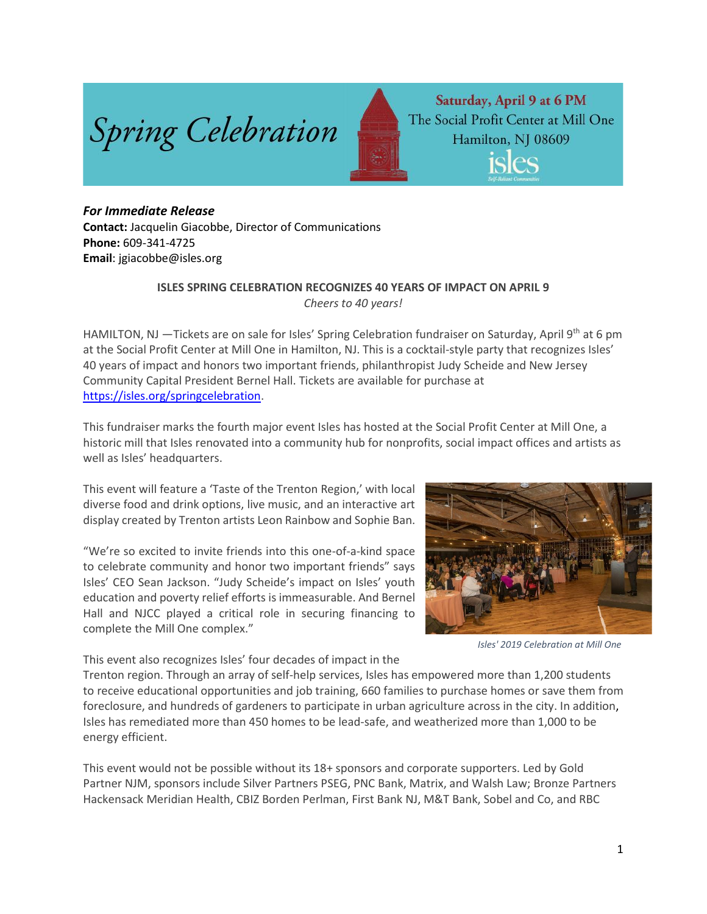

Saturday, April 9 at 6 PM The Social Profit Center at Mill One Hamilton, NJ 08609 isles

## *For Immediate Release*

**Contact:** Jacquelin Giacobbe, Director of Communications **Phone:** 609-341-4725 **Email**: jgiacobbe@isles.org

## **ISLES SPRING CELEBRATION RECOGNIZES 40 YEARS OF IMPACT ON APRIL 9** *Cheers to 40 years!*

HAMILTON, NJ —Tickets are on sale for Isles' Spring Celebration fundraiser on Saturday, April 9<sup>th</sup> at 6 pm at the Social Profit Center at Mill One in Hamilton, NJ. This is a cocktail-style party that recognizes Isles' 40 years of impact and honors two important friends, philanthropist Judy Scheide and New Jersey Community Capital President Bernel Hall. Tickets are available for purchase at [https://isles.org/springcelebration.](https://isles.org/springcelebration)

This fundraiser marks the fourth major event Isles has hosted at the Social Profit Center at Mill One, a historic mill that Isles renovated into a community hub for nonprofits, social impact offices and artists as well as Isles' headquarters.

This event will feature a 'Taste of the Trenton Region,' with local diverse food and drink options, live music, and an interactive art display created by Trenton artists Leon Rainbow and Sophie Ban.

"We're so excited to invite friends into this one-of-a-kind space to celebrate community and honor two important friends" says Isles' CEO Sean Jackson. "Judy Scheide's impact on Isles' youth education and poverty relief efforts is immeasurable. And Bernel Hall and NJCC played a critical role in securing financing to complete the Mill One complex."



*Isles' 2019 Celebration at Mill One*

This event also recognizes Isles' four decades of impact in the

Trenton region. Through an array of self-help services, Isles has empowered more than 1,200 students to receive educational opportunities and job training, 660 families to purchase homes or save them from foreclosure, and hundreds of gardeners to participate in urban agriculture across in the city. In addition, Isles has remediated more than 450 homes to be lead-safe, and weatherized more than 1,000 to be energy efficient.

This event would not be possible without its 18+ sponsors and corporate supporters. Led by Gold Partner NJM, sponsors include Silver Partners PSEG, PNC Bank, Matrix, and Walsh Law; Bronze Partners Hackensack Meridian Health, CBIZ Borden Perlman, First Bank NJ, M&T Bank, Sobel and Co, and RBC